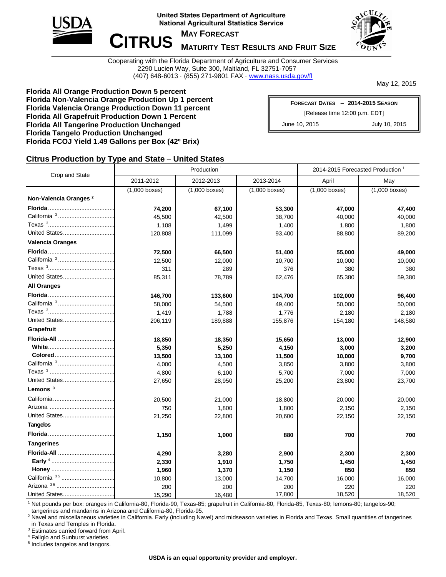

**United States Department of Agriculture National Agricultural Statistics Service** 



 $C$ **ITRUS MAY FORECAST** 

# **MATURITY TEST RESULTS AND FRUIT SIZE**

Cooperating with the Florida Department of Agriculture and Consumer Services 2290 Lucien Way, Suite 300, Maitland, FL 32751-7057 (407) 648-6013 · (855) 271-9801 FAX · [www.nass.usda.gov/fl](http://www.nass.usda.gov/fl)

May 12, 2015

**Florida All Orange Production Down 5 percent Florida Non-Valencia Orange Production Up 1 percent Florida Valencia Orange Production Down 11 percent Florida All Grapefruit Production Down 1 Percent Florida All Tangerine Production Unchanged Florida Tangelo Production Unchanged Florida FCOJ Yield 1.49 Gallons per Box (42º Brix)**

| FORECAST DATES - 2014-2015 SEASON |               |  |  |  |  |
|-----------------------------------|---------------|--|--|--|--|
| [Release time 12:00 p.m. EDT]     |               |  |  |  |  |
| June 10, 2015                     | July 10, 2015 |  |  |  |  |

#### **Citrus Production by Type and State – United States**

|                                   |                 | Production <sup>1</sup> | 2014-2015 Forecasted Production <sup>1</sup> |                 |                 |  |
|-----------------------------------|-----------------|-------------------------|----------------------------------------------|-----------------|-----------------|--|
| Crop and State                    | 2011-2012       | 2012-2013               | 2013-2014                                    | April           | May             |  |
|                                   | $(1,000$ boxes) | $(1,000$ boxes)         | $(1,000$ boxes)                              | $(1,000$ boxes) | $(1,000$ boxes) |  |
| Non-Valencia Oranges <sup>2</sup> |                 |                         |                                              |                 |                 |  |
|                                   | 74,200          | 67,100                  | 53,300                                       | 47,000          | 47,400          |  |
| California <sup>3</sup>           | 45,500          | 42,500                  | 38,700                                       | 40,000          | 40,000          |  |
|                                   | 1,108           | 1,499                   | 1,400                                        | 1,800           | 1,800           |  |
| United States                     | 120,808         | 111,099                 | 93,400                                       | 88,800          | 89,200          |  |
| <b>Valencia Oranges</b>           |                 |                         |                                              |                 |                 |  |
|                                   | 72,500          | 66,500                  | 51,400                                       | 55,000          | 49,000          |  |
| California <sup>3</sup>           | 12,500          | 12,000                  | 10,700                                       | 10,000          | 10,000          |  |
|                                   | 311             | 289                     | 376                                          | 380             | 380             |  |
| United States                     | 85,311          | 78,789                  | 62,476                                       | 65,380          | 59,380          |  |
| <b>All Oranges</b>                |                 |                         |                                              |                 |                 |  |
|                                   | 146,700         | 133,600                 | 104,700                                      | 102,000         | 96,400          |  |
| California <sup>3</sup>           | 58,000          | 54,500                  | 49,400                                       | 50,000          | 50,000          |  |
|                                   | 1,419           | 1,788                   | 1,776                                        | 2,180           | 2,180           |  |
| United States                     | 206,119         | 189,888                 | 155,876                                      | 154,180         | 148,580         |  |
| Grapefruit                        |                 |                         |                                              |                 |                 |  |
| Florida-All                       | 18,850          | 18,350                  | 15,650                                       | 13,000          | 12,900          |  |
|                                   | 5,350           | 5,250                   | 4,150                                        | 3,000           | 3,200           |  |
|                                   | 13,500          | 13,100                  | 11,500                                       | 10,000          | 9,700           |  |
|                                   | 4,000           | 4,500                   | 3,850                                        | 3,800           | 3,800           |  |
|                                   | 4,800           | 6,100                   | 5,700                                        | 7,000           | 7,000           |  |
| United States                     | 27,650          | 28,950                  | 25,200                                       | 23,800          | 23,700          |  |
| Lemons $3$                        |                 |                         |                                              |                 |                 |  |
|                                   | 20,500          | 21,000                  | 18,800                                       | 20,000          | 20,000          |  |
|                                   | 750             | 1,800                   | 1,800                                        | 2,150           | 2,150           |  |
| United States                     | 21,250          | 22,800                  | 20,600                                       | 22,150          | 22,150          |  |
| <b>Tangelos</b>                   |                 |                         |                                              |                 |                 |  |
|                                   | 1,150           | 1,000                   | 880                                          | 700             | 700             |  |
| <b>Tangerines</b>                 |                 |                         |                                              |                 |                 |  |
| Florida-All                       | 4,290           | 3,280                   | 2,900                                        | 2,300           | 2,300           |  |
|                                   | 2,330           | 1,910                   | 1,750                                        | 1,450           | 1,450           |  |
|                                   | 1,960           | 1,370                   | 1,150                                        | 850             | 850             |  |
| California <sup>35</sup>          | 10,800          | 13,000                  | 14,700                                       | 16,000          | 16,000          |  |
|                                   | 200             | 200                     | 200                                          | 220             | 220             |  |
| United States                     | 15,290          | 16,480                  | 17,800                                       | 18,520          | 18,520          |  |

<sup>1</sup> Net pounds per box: oranges in California-80, Florida-90, Texas-85; grapefruit in California-80, Florida-85, Texas-80; lemons-80; tangelos-90; tangerines and mandarins in Arizona and California-80, Florida-95.

<sup>2</sup> Navel and miscellaneous varieties in California. Early (including Navel) and midseason varieties in Florida and Texas. Small quantities of tangerines in Texas and Temples in Florida.

<sup>3</sup> Estimates carried forward from April.

<sup>4</sup> Fallglo and Sunburst varieties.

5 Includes tangelos and tangors.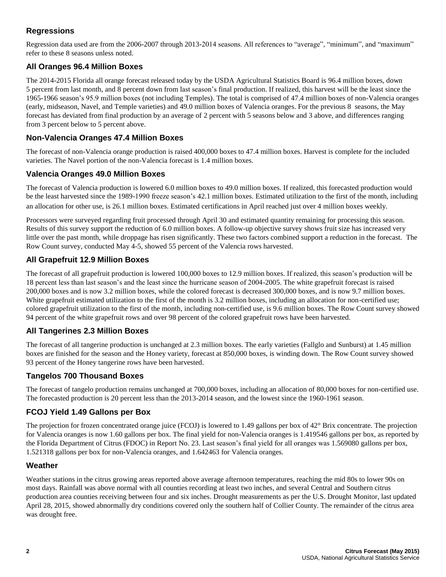# **Regressions**

Regression data used are from the 2006-2007 through 2013-2014 seasons. All references to "average", "minimum", and "maximum" refer to these 8 seasons unless noted.

### **All Oranges 96.4 Million Boxes**

The 2014-2015 Florida all orange forecast released today by the USDA Agricultural Statistics Board is 96.4 million boxes, down 5 percent from last month, and 8 percent down from last season's final production. If realized, this harvest will be the least since the 1965-1966 season's 95.9 million boxes (not including Temples). The total is comprised of 47.4 million boxes of non-Valencia oranges (early, midseason, Navel, and Temple varieties) and 49.0 million boxes of Valencia oranges. For the previous 8 seasons, the May forecast has deviated from final production by an average of 2 percent with 5 seasons below and 3 above, and differences ranging from 3 percent below to 5 percent above.

### **Non-Valencia Oranges 47.4 Million Boxes**

The forecast of non-Valencia orange production is raised 400,000 boxes to 47.4 million boxes. Harvest is complete for the included varieties. The Navel portion of the non-Valencia forecast is 1.4 million boxes.

#### **Valencia Oranges 49.0 Million Boxes**

The forecast of Valencia production is lowered 6.0 million boxes to 49.0 million boxes. If realized, this forecasted production would be the least harvested since the 1989-1990 freeze season's 42.1 million boxes. Estimated utilization to the first of the month, including an allocation for other use, is 26.1 million boxes. Estimated certifications in April reached just over 4 million boxes weekly.

Processors were surveyed regarding fruit processed through April 30 and estimated quantity remaining for processing this season. Results of this survey support the reduction of 6.0 million boxes. A follow-up objective survey shows fruit size has increased very little over the past month, while droppage has risen significantly. These two factors combined support a reduction in the forecast. The Row Count survey, conducted May 4-5, showed 55 percent of the Valencia rows harvested.

### **All Grapefruit 12.9 Million Boxes**

The forecast of all grapefruit production is lowered 100,000 boxes to 12.9 million boxes. If realized, this season's production will be 18 percent less than last season's and the least since the hurricane season of 2004-2005. The white grapefruit forecast is raised 200,000 boxes and is now 3.2 million boxes, while the colored forecast is decreased 300,000 boxes, and is now 9.7 million boxes. White grapefruit estimated utilization to the first of the month is 3.2 million boxes, including an allocation for non-certified use; colored grapefruit utilization to the first of the month, including non-certified use, is 9.6 million boxes. The Row Count survey showed 94 percent of the white grapefruit rows and over 98 percent of the colored grapefruit rows have been harvested.

# **All Tangerines 2.3 Million Boxes**

The forecast of all tangerine production is unchanged at 2.3 million boxes. The early varieties (Fallglo and Sunburst) at 1.45 million boxes are finished for the season and the Honey variety, forecast at 850,000 boxes, is winding down. The Row Count survey showed 93 percent of the Honey tangerine rows have been harvested.

#### **Tangelos 700 Thousand Boxes**

The forecast of tangelo production remains unchanged at 700,000 boxes, including an allocation of 80,000 boxes for non-certified use. The forecasted production is 20 percent less than the 2013-2014 season, and the lowest since the 1960-1961 season.

#### **FCOJ Yield 1.49 Gallons per Box**

The projection for frozen concentrated orange juice (FCOJ) is lowered to 1.49 gallons per box of 42° Brix concentrate. The projection for Valencia oranges is now 1.60 gallons per box. The final yield for non-Valencia oranges is 1.419546 gallons per box, as reported by the Florida Department of Citrus (FDOC) in Report No. 23. Last season's final yield for all oranges was 1.569080 gallons per box, 1.521318 gallons per box for non-Valencia oranges, and 1.642463 for Valencia oranges.

#### **Weather**

Weather stations in the citrus growing areas reported above average afternoon temperatures, reaching the mid 80s to lower 90s on most days. Rainfall was above normal with all counties recording at least two inches, and several Central and Southern citrus production area counties receiving between four and six inches. Drought measurements as per the U.S. Drought Monitor, last updated April 28, 2015, showed abnormally dry conditions covered only the southern half of Collier County. The remainder of the citrus area was drought free.